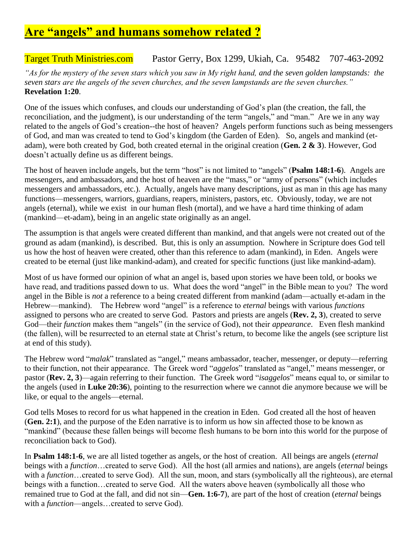## **Are "angels" and humans somehow related ?**

## Target Truth Ministries.com Pastor Gerry, Box 1299, Ukiah, Ca. 95482 707-463-2092

*"As for the mystery of the seven stars which you saw in My right hand, and the seven golden lampstands: the seven stars are the angels of the seven churches, and the seven lampstands are the seven churches."* **Revelation 1:20**.

One of the issues which confuses, and clouds our understanding of God's plan (the creation, the fall, the reconciliation, and the judgment), is our understanding of the term "angels," and "man." Are we in any way related to the angels of God's creation--the host of heaven? Angels perform functions such as being messengers of God, and man was created to tend to God's kingdom (the Garden of Eden). So, angels and mankind (etadam), were both created by God, both created eternal in the original creation (**Gen. 2 & 3**). However, God doesn't actually define us as different beings.

The host of heaven include angels, but the term "host" is not limited to "angels" (**Psalm 148:1-6**). Angels are messengers, and ambassadors, and the host of heaven are the "mass," or "army of persons" (which includes messengers and ambassadors, etc.). Actually, angels have many descriptions, just as man in this age has many functions—messengers, warriors, guardians, reapers, ministers, pastors, etc. Obviously, today, we are not angels (eternal), while we exist in our human flesh (mortal), and we have a hard time thinking of adam (mankind—et-adam), being in an angelic state originally as an angel.

The assumption is that angels were created different than mankind, and that angels were not created out of the ground as adam (mankind), is described. But, this is only an assumption. Nowhere in Scripture does God tell us how the host of heaven were created, other than this reference to adam (mankind), in Eden. Angels were created to be eternal (just like mankind-adam), and created for specific functions (just like mankind-adam).

Most of us have formed our opinion of what an angel is, based upon stories we have been told, or books we have read, and traditions passed down to us. What does the word "angel" in the Bible mean to you? The word angel in the Bible is *not* a reference to a being created different from mankind (adam—actually et-adam in the Hebrew—mankind). The Hebrew word "angel" is a reference to *eternal* beings with various *functions* assigned to persons who are created to serve God. Pastors and priests are angels (**Rev. 2, 3**), created to serve God—their *function* makes them "angels" (in the service of God), not their *appearance*. Even flesh mankind (the fallen), will be resurrected to an eternal state at Christ's return, to become like the angels (see scripture list at end of this study).

The Hebrew word "*malak*" translated as "angel," means ambassador, teacher, messenger, or deputy—referring to their function, not their appearance. The Greek word "*aggelos*" translated as "angel," means messenger, or pastor (**Rev. 2, 3**)—again referring to their function. The Greek word "*isaggelos*" means equal to, or similar to the angels (used in **Luke 20:36**), pointing to the resurrection where we cannot die anymore because we will be like, or equal to the angels—eternal.

God tells Moses to record for us what happened in the creation in Eden. God created all the host of heaven (**Gen. 2:1**), and the purpose of the Eden narrative is to inform us how sin affected those to be known as "mankind" (because these fallen beings will become flesh humans to be born into this world for the purpose of reconciliation back to God).

In **Psalm 148:1-6**, we are all listed together as angels, or the host of creation. All beings are angels (*eternal*  beings with a *function*…created to serve God). All the host (all armies and nations), are angels (*eternal* beings with a *function*…created to serve God). All the sun, moon, and stars (symbolically all the righteous), are eternal beings with a function…created to serve God. All the waters above heaven (symbolically all those who remained true to God at the fall, and did not sin—**Gen. 1:6-7**), are part of the host of creation (*eternal* beings with a *function*—angels…created to serve God).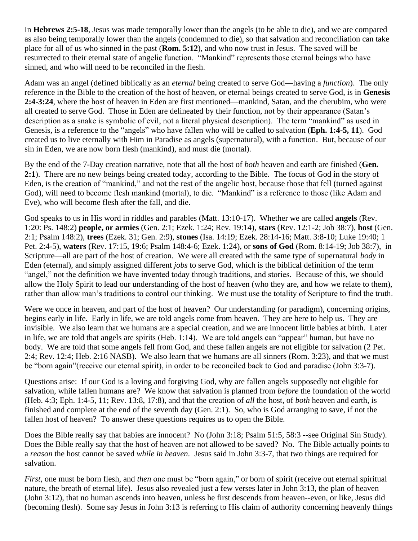In **Hebrews 2:5-18**, Jesus was made temporally lower than the angels (to be able to die), and we are compared as also being temporally lower than the angels (condemned to die), so that salvation and reconciliation can take place for all of us who sinned in the past (**Rom. 5:12**), and who now trust in Jesus. The saved will be resurrected to their eternal state of angelic function. "Mankind" represents those eternal beings who have sinned, and who will need to be reconciled in the flesh.

Adam was an angel (defined biblically as an *eternal* being created to serve God—having a *function*). The only reference in the Bible to the creation of the host of heaven, or eternal beings created to serve God, is in **Genesis 2:4-3:24**, where the host of heaven in Eden are first mentioned—mankind, Satan, and the cherubim, who were all created to serve God. Those in Eden are delineated by their function, not by their appearance (Satan's description as a snake is symbolic of evil, not a literal physical description). The term "mankind" as used in Genesis, is a reference to the "angels" who have fallen who will be called to salvation (**Eph. 1:4-5, 11**). God created us to live eternally with Him in Paradise as angels (supernatural), with a function. But, because of our sin in Eden, we are now born flesh (mankind), and must die (mortal).

By the end of the 7-Day creation narrative, note that all the host of *both* heaven and earth are finished (**Gen. 2:1**). There are no new beings being created today, according to the Bible. The focus of God in the story of Eden, is the creation of "mankind," and not the rest of the angelic host, because those that fell (turned against God), will need to become flesh mankind (mortal), to die. "Mankind" is a reference to those (like Adam and Eve), who will become flesh after the fall, and die.

God speaks to us in His word in riddles and parables (Matt. 13:10-17). Whether we are called **angels** (Rev. 1:20: Ps. 148:2) **people, or armies** (Gen. 2:1; Ezek. 1:24; Rev. 19:14), **stars** (Rev. 12:1-2; Job 38:7), **host** (Gen. 2:1; Psalm 148:2), **trees** (Ezek. 31; Gen. 2:9), **stones** (Isa. 14:19; Ezek. 28:14-16; Matt. 3:8-10; Luke 19:40; 1 Pet. 2:4-5), **waters** (Rev. 17:15, 19:6; Psalm 148:4-6; Ezek. 1:24), or **sons of God** (Rom. 8:14-19; Job 38:7), in Scripture—all are part of the host of creation. We were all created with the same type of supernatural *body* in Eden (eternal), and simply assigned different *jobs* to serve God, which is the biblical definition of the term "angel," not the definition we have invented today through traditions, and stories. Because of this, we should allow the Holy Spirit to lead our understanding of the host of heaven (who they are, and how we relate to them), rather than allow man's traditions to control our thinking. We must use the totality of Scripture to find the truth.

Were we once in heaven, and part of the host of heaven? Our understanding (or paradigm), concerning origins, begins early in life. Early in life, we are told angels come from heaven. They are here to help us. They are invisible. We also learn that we humans are a special creation, and we are innocent little babies at birth. Later in life, we are told that angels are spirits (Heb. 1:14). We are told angels can "appear" human, but have no body. We are told that some angels fell from God, and these fallen angels are not eligible for salvation (2 Pet. 2:4; Rev. 12:4; Heb. 2:16 NASB). We also learn that we humans are all sinners (Rom. 3:23), and that we must be "born again"(receive our eternal spirit), in order to be reconciled back to God and paradise (John 3:3-7).

Questions arise: If our God is a loving and forgiving God, why are fallen angels supposedly not eligible for salvation, while fallen humans are? We know that salvation is planned from *before* the foundation of the world (Heb. 4:3; Eph. 1:4-5, 11; Rev. 13:8, 17:8), and that the creation of *all* the host, of *both* heaven and earth, is finished and complete at the end of the seventh day (Gen. 2:1). So, who is God arranging to save, if not the fallen host of heaven? To answer these questions requires us to open the Bible.

Does the Bible really say that babies are innocent? No (John 3:18; Psalm 51:5, 58:3 --see Original Sin Study). Does the Bible really say that the host of heaven are not allowed to be saved? No. The Bible actually points to a *reason* the host cannot be saved *while in heaven.* Jesus said in John 3:3-7, that two things are required for salvation.

*First,* one must be born flesh, and *then* one must be "born again," or born of spirit (receive out eternal spiritual nature, the breath of eternal life). Jesus also revealed just a few verses later in John 3:13, the plan of heaven (John 3:12), that no human ascends into heaven, unless he first descends from heaven--even, or like, Jesus did (becoming flesh). Some say Jesus in John 3:13 is referring to His claim of authority concerning heavenly things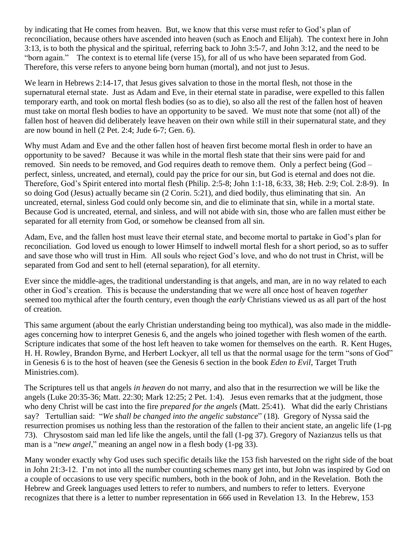by indicating that He comes from heaven. But, we know that this verse must refer to God's plan of reconciliation, because others have ascended into heaven (such as Enoch and Elijah). The context here in John 3:13, is to both the physical and the spiritual, referring back to John 3:5-7, and John 3:12, and the need to be "born again." The context is to eternal life (verse 15), for all of us who have been separated from God. Therefore, this verse refers to anyone being born human (mortal), and not just to Jesus.

We learn in Hebrews 2:14-17, that Jesus gives salvation to those in the mortal flesh, not those in the supernatural eternal state. Just as Adam and Eve, in their eternal state in paradise, were expelled to this fallen temporary earth, and took on mortal flesh bodies (so as to die), so also all the rest of the fallen host of heaven must take on mortal flesh bodies to have an opportunity to be saved. We must note that some (not all) of the fallen host of heaven did deliberately leave heaven on their own while still in their supernatural state, and they are now bound in hell (2 Pet. 2:4; Jude 6-7; Gen. 6).

Why must Adam and Eve and the other fallen host of heaven first become mortal flesh in order to have an opportunity to be saved? Because it was while in the mortal flesh state that their sins were paid for and removed. Sin needs to be removed, and God requires death to remove them. Only a perfect being (God – perfect, sinless, uncreated, and eternal), could pay the price for our sin, but God is eternal and does not die. Therefore, God's Spirit entered into mortal flesh (Philip. 2:5-8; John 1:1-18, 6:33, 38; Heb. 2:9; Col. 2:8-9). In so doing God (Jesus) actually became sin (2 Corin. 5:21), and died bodily, thus eliminating that sin. An uncreated, eternal, sinless God could only become sin, and die to eliminate that sin, while in a mortal state. Because God is uncreated, eternal, and sinless, and will not abide with sin, those who are fallen must either be separated for all eternity from God, or somehow be cleansed from all sin.

Adam, Eve, and the fallen host must leave their eternal state, and become mortal to partake in God's plan for reconciliation. God loved us enough to lower Himself to indwell mortal flesh for a short period, so as to suffer and save those who will trust in Him. All souls who reject God's love, and who do not trust in Christ, will be separated from God and sent to hell (eternal separation), for all eternity.

Ever since the middle-ages, the traditional understanding is that angels, and man, are in no way related to each other in God's creation. This is because the understanding that we were all once host of heaven *together* seemed too mythical after the fourth century, even though the *early* Christians viewed us as all part of the host of creation.

This same argument (about the early Christian understanding being too mythical), was also made in the middleages concerning how to interpret Genesis 6, and the angels who joined together with flesh women of the earth. Scripture indicates that some of the host left heaven to take women for themselves on the earth. R. Kent Huges, H. H. Rowley, Brandon Byrne, and Herbert Lockyer, all tell us that the normal usage for the term "sons of God" in Genesis 6 is to the host of heaven (see the Genesis 6 section in the book *Eden to Evil*, Target Truth Ministries.com).

The Scriptures tell us that angels *in heaven* do not marry, and also that in the resurrection we will be like the angels (Luke 20:35-36; Matt. 22:30; Mark 12:25; 2 Pet. 1:4). Jesus even remarks that at the judgment, those who deny Christ will be cast into the fire *prepared for the angels* (Matt. 25:41). What did the early Christians say? Tertullian said: "*We shall be changed into the angelic substance*" (18). Gregory of Nyssa said the resurrection promises us nothing less than the restoration of the fallen to their ancient state, an angelic life (1-pg 73). Chrysostom said man led life like the angels, until the fall (1-pg 37). Gregory of Nazianzus tells us that man is a "*new angel*," meaning an angel now in a flesh body (1-pg 33).

Many wonder exactly why God uses such specific details like the 153 fish harvested on the right side of the boat in John 21:3-12. I'm not into all the number counting schemes many get into, but John was inspired by God on a couple of occasions to use very specific numbers, both in the book of John, and in the Revelation. Both the Hebrew and Greek languages used letters to refer to numbers, and numbers to refer to letters. Everyone recognizes that there is a letter to number representation in 666 used in Revelation 13. In the Hebrew, 153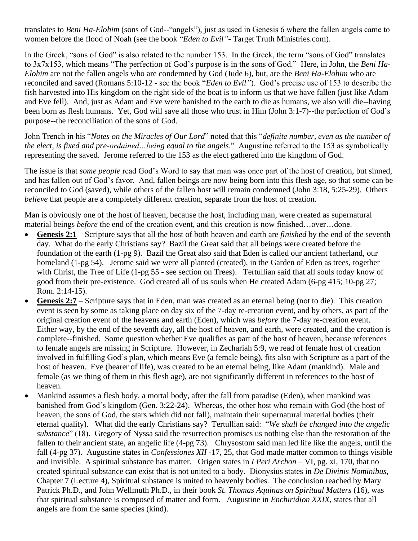translates to *Beni Ha-Elohim* (sons of God--"angels"), just as used in Genesis 6 where the fallen angels came to women before the flood of Noah (see the book "*Eden to Evil"*- Target Truth Ministries.com).

In the Greek, "sons of God" is also related to the number 153. In the Greek, the term "sons of God" translates to 3x7x153, which means "The perfection of God's purpose is in the sons of God." Here, in John, the *Beni Ha-Elohim* are not the fallen angels who are condemned by God (Jude 6), but, are the *Beni Ha-Elohim* who are reconciled and saved (Romans 5:10-12 - see the book "*Eden to Evil"*). God's precise use of 153 to describe the fish harvested into His kingdom on the right side of the boat is to inform us that we have fallen (just like Adam and Eve fell). And, just as Adam and Eve were banished to the earth to die as humans, we also will die--having been born as flesh humans. Yet, God will save all those who trust in Him (John 3:1-7)--the perfection of God's purpose--the reconciliation of the sons of God.

John Trench in his "*Notes on the Miracles of Our Lord*" noted that this "*definite number, even as the number of the elect, is fixed and pre-ordained…being equal to the angels*." Augustine referred to the 153 as symbolically representing the saved. Jerome referred to the 153 as the elect gathered into the kingdom of God.

The issue is that *some people* read God's Word to say that man was once part of the host of creation, but sinned, and has fallen out of God's favor. And, fallen beings are now being born into this flesh age, so that some can be reconciled to God (saved), while others of the fallen host will remain condemned (John 3:18, 5:25-29). Others *believe* that people are a completely different creation, separate from the host of creation.

Man is obviously one of the host of heaven, because the host, including man, were created as supernatural material beings *before* the end of the creation event, and this creation is now finished…over…done.

- **Genesis 2:1** Scripture says that all the host of both heaven and earth are *finished* by the end of the seventh day. What do the early Christians say? Bazil the Great said that all beings were created before the foundation of the earth (1-pg 9). Bazil the Great also said that Eden is called our ancient fatherland, our homeland (1-pg 54). Jerome said we were all planted (created), in the Garden of Eden as trees, together with Christ, the Tree of Life (1-pg 55 - see section on Trees). Tertullian said that all souls today know of good from their pre-existence. God created all of us souls when He created Adam (6-pg 415; 10-pg 27; Rom. 2:14-15).
- **Genesis 2:7** Scripture says that in Eden, man was created as an eternal being (not to die). This creation event is seen by some as taking place on day six of the 7-day re-creation event, and by others, as part of the original creation event of the heavens and earth (Eden), which was *before* the 7-day re-creation event. Either way, by the end of the seventh day, all the host of heaven, and earth, were created, and the creation is complete--finished. Some question whether Eve qualifies as part of the host of heaven, because references to female angels are missing in Scripture. However, in Zechariah 5:9, we read of female host of creation involved in fulfilling God's plan, which means Eve (a female being), fits also with Scripture as a part of the host of heaven. Eve (bearer of life), was created to be an eternal being, like Adam (mankind). Male and female (as we thing of them in this flesh age), are not significantly different in references to the host of heaven.
- Mankind assumes a flesh body, a mortal body, after the fall from paradise (Eden), when mankind was banished from God's kingdom (Gen. 3:22-24). Whereas, the other host who remain with God (the host of heaven, the sons of God, the stars which did not fall), maintain their supernatural material bodies (their eternal quality). What did the early Christians say? Tertullian said: "*We shall be changed into the angelic substance*" (18). Gregory of Nyssa said the resurrection promises us nothing else than the restoration of the fallen to their ancient state, an angelic life (4-pg 73). Chrysostom said man led life like the angels, until the fall (4-pg 37). Augustine states in *Confessiones XII* -17, 25, that God made matter common to things visible and invisible. A spiritual substance has matter. Origen states in *I Peri Archon* – VI, pg. xi, 170, that no created spiritual substance can exist that is not united to a body. Dionysius states in *De Divinis Nominibus,* Chapter 7 (Lecture 4), Spiritual substance is united to heavenly bodies. The conclusion reached by Mary Patrick Ph.D., and John Wellmuth Ph.D., in their book *St. Thomas Aquinas on Spiritual Matters* (16), was that spiritual substance is composed of matter and form. Augustine in *Enchiridion XXIX*, states that all angels are from the same species (kind).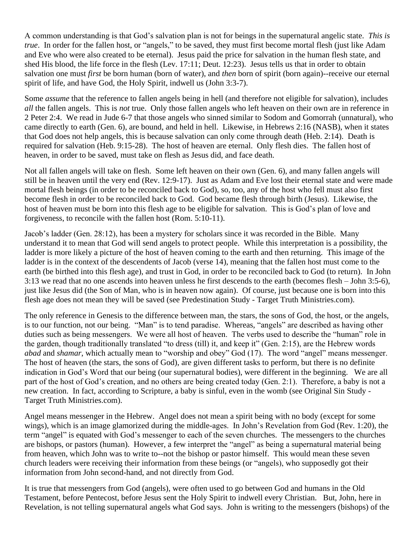A common understanding is that God's salvation plan is not for beings in the supernatural angelic state. *This is true*. In order for the fallen host, or "angels," to be saved, they must first become mortal flesh (just like Adam and Eve who were also created to be eternal). Jesus paid the price for salvation in the human flesh state, and shed His blood, the life force in the flesh (Lev. 17:11; Deut. 12:23). Jesus tells us that in order to obtain salvation one must *first* be born human (born of water), and *then* born of spirit (born again)--receive our eternal spirit of life, and have God, the Holy Spirit, indwell us (John 3:3-7).

Some *assume* that the reference to fallen angels being in hell (and therefore not eligible for salvation), includes *all* the fallen angels. This is *not* true. Only those fallen angels who left heaven on their own are in reference in 2 Peter 2:4. We read in Jude 6-7 that those angels who sinned similar to Sodom and Gomorrah (unnatural), who came directly to earth (Gen. 6), are bound, and held in hell. Likewise, in Hebrews 2:16 (NASB), when it states that God does not help angels, this is because salvation can only come through death (Heb. 2:14). Death is required for salvation (Heb. 9:15-28). The host of heaven are eternal. Only flesh dies. The fallen host of heaven, in order to be saved, must take on flesh as Jesus did, and face death.

Not all fallen angels will take on flesh. Some left heaven on their own (Gen. 6), and many fallen angels will still be in heaven until the very end (Rev. 12:9-17). Just as Adam and Eve lost their eternal state and were made mortal flesh beings (in order to be reconciled back to God), so, too, any of the host who fell must also first become flesh in order to be reconciled back to God. God became flesh through birth (Jesus). Likewise, the host of heaven must be born into this flesh age to be eligible for salvation. This is God's plan of love and forgiveness, to reconcile with the fallen host (Rom. 5:10-11).

Jacob's ladder (Gen. 28:12), has been a mystery for scholars since it was recorded in the Bible. Many understand it to mean that God will send angels to protect people. While this interpretation is a possibility, the ladder is more likely a picture of the host of heaven coming to the earth and then returning. This image of the ladder is in the context of the descendents of Jacob (verse 14), meaning that the fallen host must come to the earth (be birthed into this flesh age), and trust in God, in order to be reconciled back to God (to return). In John 3:13 we read that no one ascends into heaven unless he first descends to the earth (becomes flesh – John 3:5-6), just like Jesus did (the Son of Man, who is in heaven now again). Of course, just because one is born into this flesh age does not mean they will be saved (see Predestination Study - Target Truth Ministries.com).

The only reference in Genesis to the difference between man, the stars, the sons of God, the host, or the angels, is to our function, not our being. "Man" is to tend paradise. Whereas, "angels" are described as having other duties such as being messengers. We were all host of heaven. The verbs used to describe the "human" role in the garden, though traditionally translated "to dress (till) it, and keep it" (Gen. 2:15), are the Hebrew words *abad* and *shamar*, which actually mean to "worship and obey" God (17). The word "angel" means messenger. The host of heaven (the stars, the sons of God), are given different tasks to perform, but there is no definite indication in God's Word that our being (our supernatural bodies), were different in the beginning. We are all part of the host of God's creation, and no others are being created today (Gen. 2:1). Therefore, a baby is not a new creation. In fact, according to Scripture, a baby is sinful, even in the womb (see Original Sin Study - Target Truth Ministries.com).

Angel means messenger in the Hebrew. Angel does not mean a spirit being with no body (except for some wings), which is an image glamorized during the middle-ages. In John's Revelation from God (Rev. 1:20), the term "angel" is equated with God's messenger to each of the seven churches. The messengers to the churches are bishops, or pastors (human). However, a few interpret the "angel" as being a supernatural material being from heaven, which John was to write to--not the bishop or pastor himself. This would mean these seven church leaders were receiving their information from these beings (or "angels), who supposedly got their information from John second-hand, and not directly from God.

It is true that messengers from God (angels), were often used to go between God and humans in the Old Testament, before Pentecost, before Jesus sent the Holy Spirit to indwell every Christian. But, John, here in Revelation, is not telling supernatural angels what God says. John is writing to the messengers (bishops) of the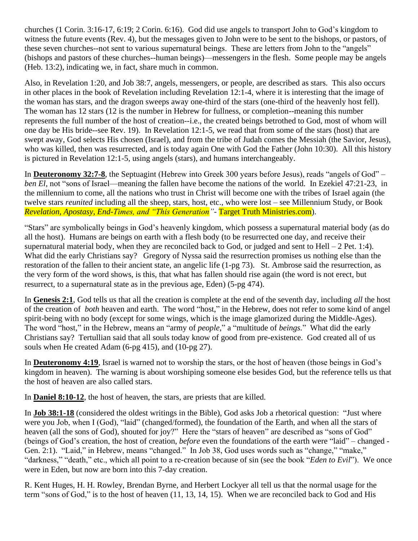churches (1 Corin. 3:16-17, 6:19; 2 Corin. 6:16). God did use angels to transport John to God's kingdom to witness the future events (Rev. 4), but the messages given to John were to be sent to the bishops, or pastors, of these seven churches--not sent to various supernatural beings. These are letters from John to the "angels" (bishops and pastors of these churches--human beings)—messengers in the flesh. Some people may be angels (Heb. 13:2), indicating we, in fact, share much in common.

Also, in Revelation 1:20, and Job 38:7, angels, messengers, or people, are described as stars. This also occurs in other places in the book of Revelation including Revelation 12:1-4, where it is interesting that the image of the woman has stars, and the dragon sweeps away one-third of the stars (one-third of the heavenly host fell). The woman has 12 stars (12 is the number in Hebrew for fullness, or completion--meaning this number represents the full number of the host of creation--i.e., the created beings betrothed to God, most of whom will one day be His bride--see Rev. 19). In Revelation 12:1-5, we read that from some of the stars (host) that are swept away, God selects His chosen (Israel), and from the tribe of Judah comes the Messiah (the Savior, Jesus), who was killed, then was resurrected, and is today again One with God the Father (John 10:30). All this history is pictured in Revelation 12:1-5, using angels (stars), and humans interchangeably.

In **Deuteronomy 32:7-8**, the Septuagint (Hebrew into Greek 300 years before Jesus), reads "angels of God" – *ben El,* not "sons of Israel—meaning the fallen have become the nations of the world. In Ezekiel 47:21-23, in the millennium to come, all the nations who trust in Christ will become one with the tribes of Israel again (the twelve stars *reunited* including all the sheep, stars, host, etc., who were lost – see Millennium Study, or Book *Revelation, Apostasy, End-Times, and "This Generation"*- Target Truth Ministries.com).

"Stars" are symbolically beings in God's heavenly kingdom, which possess a supernatural material body (as do all the host). Humans are beings on earth with a flesh body (to be resurrected one day, and receive their supernatural material body, when they are reconciled back to God, or judged and sent to Hell – 2 Pet. 1:4). What did the early Christians say? Gregory of Nyssa said the resurrection promises us nothing else than the restoration of the fallen to their ancient state, an angelic life (1-pg 73). St. Ambrose said the resurrection, as the very form of the word shows, is this, that what has fallen should rise again (the word is not erect, but resurrect, to a supernatural state as in the previous age, Eden) (5-pg 474).

In **Genesis 2:1**, God tells us that all the creation is complete at the end of the seventh day, including *all* the host of the creation of *both* heaven and earth. The word "host," in the Hebrew, does not refer to some kind of angel spirit-being with no body (except for some wings, which is the image glamorized during the Middle-Ages). The word "host," in the Hebrew, means an "army of *people*," a "multitude of *beings.*" What did the early Christians say? Tertullian said that all souls today know of good from pre-existence. God created all of us souls when He created Adam (6-pg 415), and (10-pg 27).

In **Deuteronomy 4:19**, Israel is warned not to worship the stars, or the host of heaven (those beings in God's kingdom in heaven). The warning is about worshiping someone else besides God, but the reference tells us that the host of heaven are also called stars.

In **Daniel 8:10-12**, the host of heaven, the stars, are priests that are killed.

In **Job 38:1-18** (considered the oldest writings in the Bible), God asks Job a rhetorical question: "Just where were you Job, when I (God), "laid" (changed/formed), the foundation of the Earth, and when all the stars of heaven (all the sons of God), shouted for joy?" Here the "stars of heaven" are described as "sons of God" (beings of God's creation, the host of creation, *before* even the foundations of the earth were "laid" – changed - Gen. 2:1). "Laid," in Hebrew, means "changed." In Job 38, God uses words such as "change," "make," "darkness," "death," etc., which all point to a re-creation because of sin (see the book "*Eden to Evil*"). We once were in Eden, but now are born into this 7-day creation.

R. Kent Huges, H. H. Rowley, Brendan Byrne, and Herbert Lockyer all tell us that the normal usage for the term "sons of God," is to the host of heaven (11, 13, 14, 15). When we are reconciled back to God and His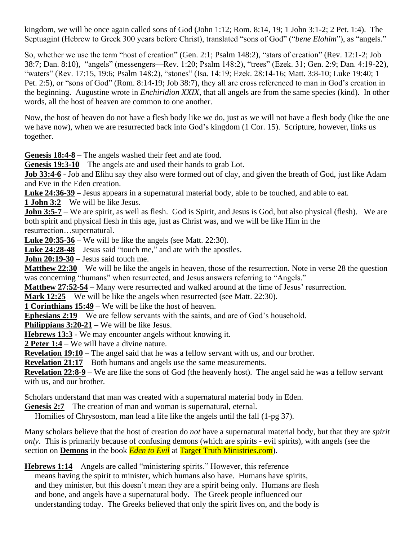kingdom, we will be once again called sons of God (John 1:12; Rom. 8:14, 19; 1 John 3:1-2; 2 Pet. 1:4). The Septuagint (Hebrew to Greek 300 years before Christ), translated "sons of God" ("*bene Elohim*"), as "angels."

So, whether we use the term "host of creation" (Gen. 2:1; Psalm 148:2), "stars of creation" (Rev. 12:1-2; Job 38:7; Dan. 8:10), "angels" (messengers—Rev. 1:20; Psalm 148:2), "trees" (Ezek. 31; Gen. 2:9; Dan. 4:19-22), "waters" (Rev. 17:15, 19:6; Psalm 148:2), "stones" (Isa. 14:19; Ezek. 28:14-16; Matt. 3:8-10; Luke 19:40; 1 Pet. 2:5), or "sons of God" (Rom. 8:14-19; Job 38:7), they all are cross referenced to man in God's creation in the beginning. Augustine wrote in *Enchiridion XXIX*, that all angels are from the same species (kind). In other words, all the host of heaven are common to one another.

Now, the host of heaven do not have a flesh body like we do, just as we will not have a flesh body (like the one we have now), when we are resurrected back into God's kingdom (1 Cor. 15). Scripture, however, links us together.

**Genesis 18:4-8** – The angels washed their feet and ate food.

**Genesis 19:3-10** – The angels ate and used their hands to grab Lot.

**Job 33:4-6** - Job and Elihu say they also were formed out of clay, and given the breath of God, just like Adam and Eve in the Eden creation.

**Luke 24:36-39** – Jesus appears in a supernatural material body, able to be touched, and able to eat.

**1 John 3:2** – We will be like Jesus.

**John 3:5-7** – We are spirit, as well as flesh. God is Spirit, and Jesus is God, but also physical (flesh). We are both spirit and physical flesh in this age, just as Christ was, and we will be like Him in the resurrection…supernatural.

**Luke 20:35-36** – We will be like the angels (see Matt. 22:30).

**Luke 24:28-48** – Jesus said "touch me," and ate with the apostles.

**John 20:19-30** – Jesus said touch me.

**Matthew 22:30** – We will be like the angels in heaven, those of the resurrection. Note in verse 28 the question was concerning "humans" when resurrected, and Jesus answers referring to "Angels."

**Matthew 27:52-54** – Many were resurrected and walked around at the time of Jesus' resurrection.

**Mark 12:25** – We will be like the angels when resurrected (see Matt. 22:30).

**1 Corinthians 15:49** – We will be like the host of heaven.

**Ephesians 2:19** – We are fellow servants with the saints, and are of God's household.

**Philippians 3:20-21** – We will be like Jesus.

**Hebrews 13:3** - We may encounter angels without knowing it.

**2 Peter 1:4** – We will have a divine nature.

**Revelation 19:10** – The angel said that he was a fellow servant with us, and our brother.

**Revelation 21:17** – Both humans and angels use the same measurements.

**Revelation 22:8-9** – We are like the sons of God (the heavenly host). The angel said he was a fellow servant with us, and our brother.

Scholars understand that man was created with a supernatural material body in Eden.

**Genesis 2:7** – The creation of man and woman is supernatural, eternal.

Homilies of Chrysostom, man lead a life like the angels until the fall (1-pg 37).

Many scholars believe that the host of creation do *not* have a supernatural material body, but that they are *spirit only*. This is primarily because of confusing demons (which are spirits - evil spirits), with angels (see the section on **Demons** in the book *Eden to Evil* at Target Truth Ministries.com).

**Hebrews 1:14** – Angels are called "ministering spirits." However, this reference

 means having the spirit to minister, which humans also have. Humans have spirits, and they minister, but this doesn't mean they are a spirit being only. Humans are flesh and bone, and angels have a supernatural body. The Greek people influenced our understanding today. The Greeks believed that only the spirit lives on, and the body is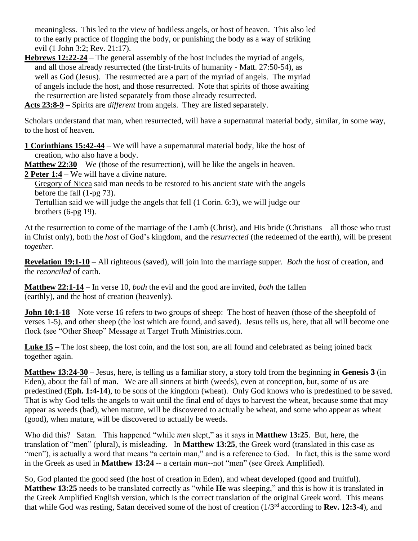meaningless. This led to the view of bodiless angels, or host of heaven. This also led to the early practice of flogging the body, or punishing the body as a way of striking evil (1 John 3:2; Rev. 21:17).

**Hebrews 12:22-24** – The general assembly of the host includes the myriad of angels, and all those already resurrected (the first-fruits of humanity - Matt. 27:50-54), as well as God (Jesus). The resurrected are a part of the myriad of angels. The myriad of angels include the host, and those resurrected. Note that spirits of those awaiting the resurrection are listed separately from those already resurrected.

**Acts 23:8-9** – Spirits are *different* from angels. They are listed separately.

Scholars understand that man, when resurrected, will have a supernatural material body, similar, in some way, to the host of heaven.

**1 Corinthians 15:42-44** – We will have a supernatural material body, like the host of creation, who also have a body.

**Matthew 22:30** – We (those of the resurrection), will be like the angels in heaven.

**2 Peter 1:4** – We will have a divine nature.

 Gregory of Nicea said man needs to be restored to his ancient state with the angels before the fall (1-pg 73).

 Tertullian said we will judge the angels that fell (1 Corin. 6:3), we will judge our brothers (6-pg 19).

At the resurrection to come of the marriage of the Lamb (Christ), and His bride (Christians – all those who trust in Christ only), both the *host* of God's kingdom, and the *resurrected* (the redeemed of the earth), will be present *together*.

**Revelation 19:1-10** – All righteous (saved), will join into the marriage supper. *Both* the *host* of creation, and the *reconciled* of earth.

**Matthew 22:1-14** – In verse 10, *both* the evil and the good are invited, *both* the fallen (earthly), and the host of creation (heavenly).

**John 10:1-18** – Note verse 16 refers to two groups of sheep: The host of heaven (those of the sheepfold of verses 1-5), and other sheep (the lost which are found, and saved). Jesus tells us, here, that all will become one flock (see "Other Sheep" Message at Target Truth Ministries.com.

**Luke 15** – The lost sheep, the lost coin, and the lost son, are all found and celebrated as being joined back together again.

**Matthew 13:24-30** – Jesus, here, is telling us a familiar story, a story told from the beginning in **Genesis 3** (in Eden), about the fall of man. We are all sinners at birth (weeds), even at conception, but, some of us are predestined (**Eph. 1:4-14**), to be sons of the kingdom (wheat). Only God knows who is predestined to be saved. That is why God tells the angels to wait until the final end of days to harvest the wheat, because some that may appear as weeds (bad), when mature, will be discovered to actually be wheat, and some who appear as wheat (good), when mature, will be discovered to actually be weeds.

Who did this? Satan. This happened "while *men* slept," as it says in **Matthew 13:25**. But, here, the translation of "men" (plural), is misleading. In **Matthew 13:25**, the Greek word (translated in this case as "men"), is actually a word that means "a certain man," and is a reference to God. In fact, this is the same word in the Greek as used in **Matthew 13:24** -- a certain *man*--not "men" (see Greek Amplified).

So, God planted the good seed (the host of creation in Eden), and wheat developed (good and fruitful). **Matthew 13:25** needs to be translated correctly as "while **He** was sleeping," and this is how it is translated in the Greek Amplified English version, which is the correct translation of the original Greek word. This means that while God was resting, Satan deceived some of the host of creation (1/3rd according to **Rev. 12:3-4**), and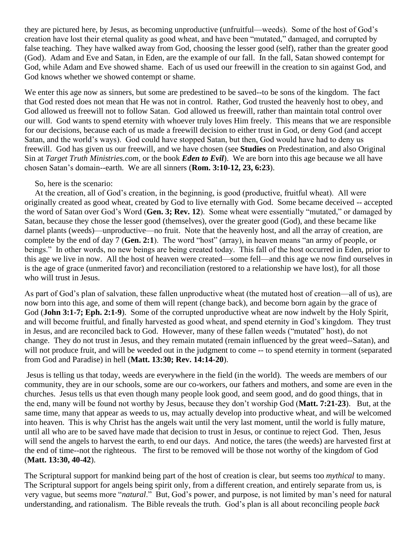they are pictured here, by Jesus, as becoming unproductive (unfruitful—weeds). Some of the host of God's creation have lost their eternal quality as good wheat, and have been "mutated," damaged, and corrupted by false teaching. They have walked away from God, choosing the lesser good (self), rather than the greater good (God). Adam and Eve and Satan, in Eden, are the example of our fall. In the fall, Satan showed contempt for God, while Adam and Eve showed shame. Each of us used our freewill in the creation to sin against God, and God knows whether we showed contempt or shame.

We enter this age now as sinners, but some are predestined to be saved--to be sons of the kingdom. The fact that God rested does not mean that He was not in control. Rather, God trusted the heavenly host to obey, and God allowed us freewill not to follow Satan. God allowed us freewill, rather than maintain total control over our will. God wants to spend eternity with whoever truly loves Him freely. This means that we are responsible for our decisions, because each of us made a freewill decision to either trust in God, or deny God (and accept Satan, and the world's ways). God could have stopped Satan, but then, God would have had to deny us freewill. God has given us our freewill, and we have chosen (see **Studies** on Predestination, and also Original Sin at *Target Truth Ministries.com*, or the book *Eden to Evil*). We are born into this age because we all have chosen Satan's domain--earth. We are all sinners (**Rom. 3:10-12, 23, 6:23**).

## So, here is the scenario:

 At the creation, all of God's creation, in the beginning, is good (productive, fruitful wheat). All were originally created as good wheat, created by God to live eternally with God. Some became deceived -- accepted the word of Satan over God's Word (**Gen. 3; Rev. 12**). Some wheat were essentially "mutated," or damaged by Satan, because they chose the lesser good (themselves), over the greater good (God), and these became like darnel plants (weeds)—unproductive—no fruit. Note that the heavenly host, and all the array of creation, are complete by the end of day 7 (**Gen. 2:1**). The word "host" (array), in heaven means "an army of people, or beings." In other words, no new beings are being created today. This fall of the host occurred in Eden, prior to this age we live in now. All the host of heaven were created—some fell—and this age we now find ourselves in is the age of grace (unmerited favor) and reconciliation (restored to a relationship we have lost), for all those who will trust in Jesus.

As part of God's plan of salvation, these fallen unproductive wheat (the mutated host of creation—all of us), are now born into this age, and some of them will repent (change back), and become born again by the grace of God (**John 3:1-7; Eph. 2:1-9**). Some of the corrupted unproductive wheat are now indwelt by the Holy Spirit, and will become fruitful, and finally harvested as good wheat, and spend eternity in God's kingdom. They trust in Jesus, and are reconciled back to God. However, many of these fallen weeds ("mutated" host), do not change. They do not trust in Jesus, and they remain mutated (remain influenced by the great weed--Satan), and will not produce fruit, and will be weeded out in the judgment to come -- to spend eternity in torment (separated from God and Paradise) in hell (**Matt. 13:30; Rev. 14:14-20**).

Jesus is telling us that today, weeds are everywhere in the field (in the world). The weeds are members of our community, they are in our schools, some are our co-workers, our fathers and mothers, and some are even in the churches. Jesus tells us that even though many people look good, and seem good, and do good things, that in the end, many will be found not worthy by Jesus, because they don't worship God (**Matt. 7:21-23**). But, at the same time, many that appear as weeds to us, may actually develop into productive wheat, and will be welcomed into heaven. This is why Christ has the angels wait until the very last moment, until the world is fully mature, until all who are to be saved have made that decision to trust in Jesus, or continue to reject God. Then, Jesus will send the angels to harvest the earth, to end our days. And notice, the tares (the weeds) are harvested first at the end of time--not the righteous. The first to be removed will be those not worthy of the kingdom of God (**Matt. 13:30, 40-42**).

The Scriptural support for mankind being part of the host of creation is clear, but seems too *mythical* to many. The Scriptural support for angels being spirit only, from a different creation, and entirely separate from us, is very vague, but seems more "*natural*." But, God's power, and purpose, is not limited by man's need for natural understanding, and rationalism. The Bible reveals the truth. God's plan is all about reconciling people *back*